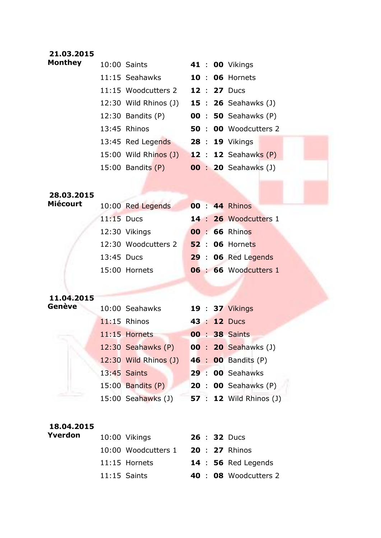## **21.03.2015**

| <b>Monthey</b>  | 10:00 Saints                               |  | 41 : 00 Vikings                |
|-----------------|--------------------------------------------|--|--------------------------------|
|                 | 11:15 Seahawks                             |  | <b>10: 06 Hornets</b>          |
|                 | 11:15 Woodcutters 2 <b>12 : 27</b> Ducs    |  |                                |
|                 | 12:30 Wild Rhinos (J) 15 : 26 Seahawks (J) |  |                                |
|                 | 12:30 Bandits (P) 00 : 50 Seahawks (P)     |  |                                |
|                 | 13:45 Rhinos                               |  | 50 : 00 Woodcutters 2          |
|                 | 13:45 Red Legends 28 : 19 Vikings          |  |                                |
|                 | 15:00 Wild Rhinos (J) 12 : 12 Seahawks (P) |  |                                |
|                 | 15:00 Bandits (P) 00 : 20 Seahawks (J)     |  |                                |
|                 |                                            |  |                                |
| 28.03.2015      |                                            |  |                                |
| <b>Miécourt</b> | 10:00 Red Legends                          |  | 00 : 44 Rhinos                 |
|                 | $11:15$ Ducs                               |  | 14 : 26 Woodcutters 1          |
|                 | 12:30 Vikings                              |  | 00 : 66 Rhinos                 |
|                 | 12:30 Woodcutters 2                        |  | <b>52 : 06 Hornets</b>         |
|                 | 13:45 Ducs                                 |  | 29 : 06 Red Legends            |
|                 | 15:00 Hornets                              |  | 06 : 66 Woodcutters 1          |
|                 |                                            |  |                                |
| 11.04.2015      |                                            |  |                                |
| <b>Genève</b>   | 10:00 Seahawks 19:37 Vikings               |  |                                |
|                 |                                            |  |                                |
|                 | $11:15$ Rhinos                             |  | 43 : 12 Ducs                   |
|                 | $11:15$ Hornets                            |  | <b>00 : 38 Saints</b>          |
|                 | 12:30 Seahawks (P)                         |  | <b>00 : 20 Seahawks (J)</b>    |
|                 | 12:30 Wild Rhinos (J)                      |  | 46 : 00 Bandits (P)            |
|                 | 13:45 Saints                               |  | 29 : 00 Seahawks               |
|                 | $15:00$ Bandits $(P)$                      |  | <b>20 : 00 Seahawks (P)</b>    |
|                 | 15:00 Seahawks (J)                         |  | <b>57 : 12</b> Wild Rhinos (J) |
|                 |                                            |  |                                |
| 18.04.2015      |                                            |  |                                |
| Yverdon         | 10:00 Vikings                              |  | 26 : 32 Ducs                   |
|                 | 10:00 Woodcutters 1                        |  | 20 : 27 Rhinos                 |

11:15 Saints **40** : **08** Woodcutters 2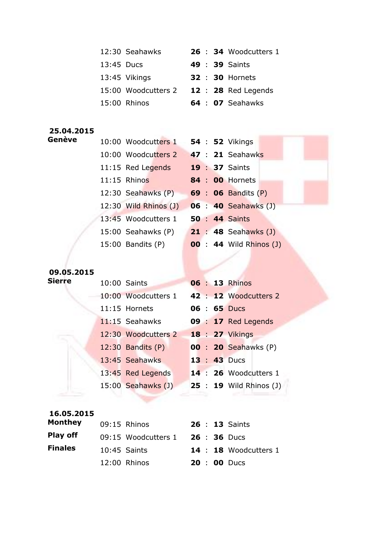|                      | 12:30 Seahawks                             |  | 26 : 34 Woodcutters 1          |
|----------------------|--------------------------------------------|--|--------------------------------|
|                      | 13:45 Ducs                                 |  | <b>49 : 39 Saints</b>          |
|                      | 13:45 Vikings                              |  | <b>32 : 30 Hornets</b>         |
|                      | 15:00 Woodcutters 2 12: 28 Red Legends     |  |                                |
|                      | 15:00 Rhinos                               |  | 64 : 07 Seahawks               |
|                      |                                            |  |                                |
| 25.04.2015<br>Genève |                                            |  |                                |
|                      | 10:00 Woodcutters 1 54 : 52 Vikings        |  |                                |
|                      | 10:00 Woodcutters 2 47 : 21 Seahawks       |  |                                |
|                      | 11:15 Red Legends                          |  | <b>19 : 37 Saints</b>          |
|                      | $11:15$ Rhinos                             |  | <b>84 : 00 Hornets</b>         |
|                      | 12:30 Seahawks $(P)$ 69 : 06 Bandits $(P)$ |  |                                |
|                      | 12:30 Wild Rhinos (J) 06 : 40 Seahawks (J) |  |                                |
|                      | 13:45 Woodcutters 1                        |  | <b>50 : 44 Saints</b>          |
|                      | 15:00 Seahawks (P) 21 : 48 Seahawks (J)    |  |                                |
|                      | $15:00$ Bandits $(P)$                      |  | <b>00 : 44 Wild Rhinos (J)</b> |
|                      |                                            |  |                                |
| 09.05.2015           |                                            |  |                                |
| <b>Sierre</b>        | 10:00 Saints                               |  | <b>06 : 13 Rhinos</b>          |

| 09.05.2015 |  |  |
|------------|--|--|

|  | 10:00 Saints        |  | <b>06 : 13 Rhinos</b>          |
|--|---------------------|--|--------------------------------|
|  | 10:00 Woodcutters 1 |  | 42 : 12 Woodcutters 2          |
|  | 11:15 Hornets       |  | $06 : 65$ Ducs                 |
|  | $11:15$ Seahawks    |  | 09 : 17 Red Legends            |
|  | 12:30 Woodcutters 2 |  | <b>18 : 27 Vikings</b>         |
|  | 12:30 Bandits (P)   |  | <b>00 : 20 Seahawks (P)</b>    |
|  | 13:45 Seahawks      |  | $13:43$ Ducs                   |
|  | 13:45 Red Legends   |  | 14 : 26 Woodcutters 1          |
|  | 15:00 Seahawks (J)  |  | <b>25 : 19</b> Wild Rhinos (J) |

| 16.05.2015     |                     |  |                       |
|----------------|---------------------|--|-----------------------|
| Monthey        | 09:15 Rhinos        |  | <b>26 : 13 Saints</b> |
| Play off       | 09:15 Woodcutters 1 |  | $26 : 36$ Ducs        |
| <b>Finales</b> | $10:45$ Saints      |  | 14 : 18 Woodcutters 1 |
|                | 12:00 Rhinos        |  | <b>20 : 00 Ducs</b>   |